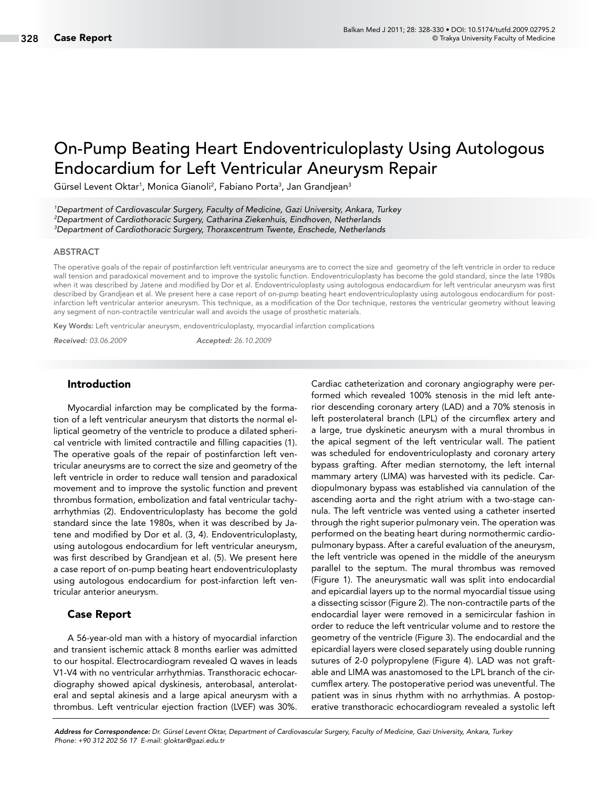# On-Pump Beating Heart Endoventriculoplasty Using Autologous Endocardium for Left Ventricular Aneurysm Repair

Gürsel Levent Oktar<sup>1</sup>, Monica Gianoli<sup>2</sup>, Fabiano Porta<sup>3</sup>, Jan Grandjean<sup>3</sup>

*1 Department of Cardiovascular Surgery, Faculty of Medicine, Gazi University, Ankara, Turkey 2 Department of Cardiothoracic Surgery, Catharina Ziekenhuis, Eindhoven, Netherlands 3 Department of Cardiothoracic Surgery, Thoraxcentrum Twente, Enschede, Netherlands*

#### ABSTRACT

The operative goals of the repair of postinfarction left ventricular aneurysms are to correct the size and geometry of the left ventricle in order to reduce wall tension and paradoxical movement and to improve the systolic function. Endoventriculoplasty has become the gold standard, since the late 1980s when it was described by Jatene and modified by Dor et al. Endoventriculoplasty using autologous endocardium for left ventricular aneurysm was first described by Grandjean et al. We present here a case report of on-pump beating heart endoventriculoplasty using autologous endocardium for postinfarction left ventricular anterior aneurysm. This technique, as a modification of the Dor technique, restores the ventricular geometry without leaving any segment of non-contractile ventricular wall and avoids the usage of prosthetic materials.

Key Words: Left ventricular aneurysm, endoventriculoplasty, myocardial infarction complications

*Received: 03.06.2009 Accepted: 26.10.2009*

#### Introduction

Myocardial infarction may be complicated by the formation of a left ventricular aneurysm that distorts the normal elliptical geometry of the ventricle to produce a dilated spherical ventricle with limited contractile and filling capacities (1). The operative goals of the repair of postinfarction left ventricular aneurysms are to correct the size and geometry of the left ventricle in order to reduce wall tension and paradoxical movement and to improve the systolic function and prevent thrombus formation, embolization and fatal ventricular tachyarrhythmias (2). Endoventriculoplasty has become the gold standard since the late 1980s, when it was described by Jatene and modified by Dor et al. (3, 4). Endoventriculoplasty, using autologous endocardium for left ventricular aneurysm, was first described by Grandjean et al. (5). We present here a case report of on-pump beating heart endoventriculoplasty using autologous endocardium for post-infarction left ventricular anterior aneurysm.

#### Case Report

A 56-year-old man with a history of myocardial infarction and transient ischemic attack 8 months earlier was admitted to our hospital. Electrocardiogram revealed Q waves in leads V1-V4 with no ventricular arrhythmias. Transthoracic echocardiography showed apical dyskinesis, anterobasal, anterolateral and septal akinesis and a large apical aneurysm with a thrombus. Left ventricular ejection fraction (LVEF) was 30%. Cardiac catheterization and coronary angiography were performed which revealed 100% stenosis in the mid left anterior descending coronary artery (LAD) and a 70% stenosis in left posterolateral branch (LPL) of the circumflex artery and a large, true dyskinetic aneurysm with a mural thrombus in the apical segment of the left ventricular wall. The patient was scheduled for endoventriculoplasty and coronary artery bypass grafting. After median sternotomy, the left internal mammary artery (LIMA) was harvested with its pedicle. Cardiopulmonary bypass was established via cannulation of the ascending aorta and the right atrium with a two-stage cannula. The left ventricle was vented using a catheter inserted through the right superior pulmonary vein. The operation was performed on the beating heart during normothermic cardiopulmonary bypass. After a careful evaluation of the aneurysm, the left ventricle was opened in the middle of the aneurysm parallel to the septum. The mural thrombus was removed (Figure 1). The aneurysmatic wall was split into endocardial and epicardial layers up to the normal myocardial tissue using a dissecting scissor (Figure 2). The non-contractile parts of the endocardial layer were removed in a semicircular fashion in order to reduce the left ventricular volume and to restore the geometry of the ventricle (Figure 3). The endocardial and the epicardial layers were closed separately using double running sutures of 2-0 polypropylene (Figure 4). LAD was not graftable and LIMA was anastomosed to the LPL branch of the circumflex artery. The postoperative period was uneventful. The patient was in sinus rhythm with no arrhythmias. A postoperative transthoracic echocardiogram revealed a systolic left

*Address for Correspondence: Dr. Gürsel Levent Oktar, Department of Cardiovascular Surgery, Faculty of Medicine, Gazi University, Ankara, Turkey Phone: +90 312 202 56 17 E-mail: gloktar@gazi.edu.tr*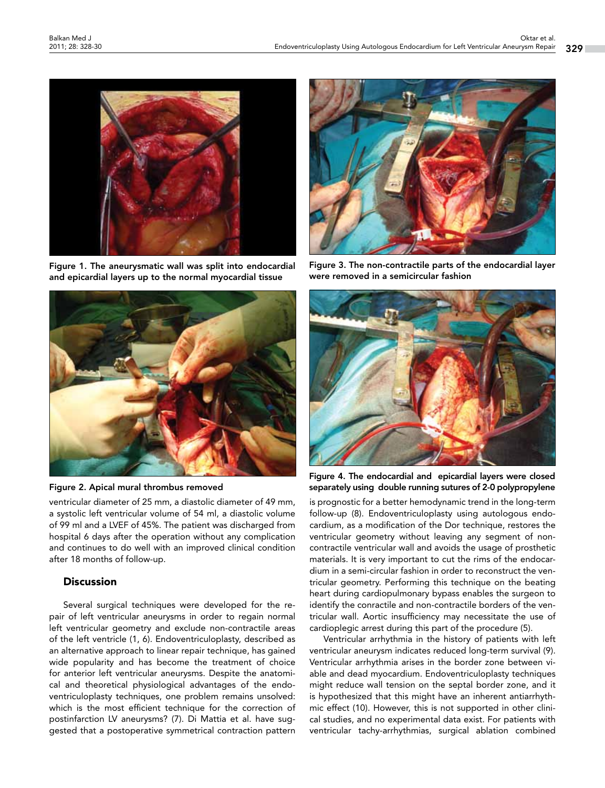

Figure 1. The aneurysmatic wall was split into endocardial and epicardial layers up to the normal myocardial tissue



Figure 2. Apical mural thrombus removed

ventricular diameter of 25 mm, a diastolic diameter of 49 mm, a systolic left ventricular volume of 54 ml, a diastolic volume of 99 ml and a LVEF of 45%. The patient was discharged from hospital 6 days after the operation without any complication and continues to do well with an improved clinical condition after 18 months of follow-up.

#### **Discussion**

Several surgical techniques were developed for the repair of left ventricular aneurysms in order to regain normal left ventricular geometry and exclude non-contractile areas of the left ventricle (1, 6). Endoventriculoplasty, described as an alternative approach to linear repair technique, has gained wide popularity and has become the treatment of choice for anterior left ventricular aneurysms. Despite the anatomical and theoretical physiological advantages of the endoventriculoplasty techniques, one problem remains unsolved: which is the most efficient technique for the correction of postinfarction LV aneurysms? (7). Di Mattia et al. have suggested that a postoperative symmetrical contraction pattern



Figure 3. The non-contractile parts of the endocardial layer were removed in a semicircular fashion



Figure 4. The endocardial and epicardial layers were closed separately using double running sutures of 2-0 polypropylene

is prognostic for a better hemodynamic trend in the long-term follow-up (8). Endoventriculoplasty using autologous endocardium, as a modification of the Dor technique, restores the ventricular geometry without leaving any segment of noncontractile ventricular wall and avoids the usage of prosthetic materials. It is very important to cut the rims of the endocardium in a semi-circular fashion in order to reconstruct the ventricular geometry. Performing this technique on the beating heart during cardiopulmonary bypass enables the surgeon to identify the conractile and non-contractile borders of the ventricular wall. Aortic insufficiency may necessitate the use of cardioplegic arrest during this part of the procedure (5).

Ventricular arrhythmia in the history of patients with left ventricular aneurysm indicates reduced long-term survival (9). Ventricular arrhythmia arises in the border zone between viable and dead myocardium. Endoventriculoplasty techniques might reduce wall tension on the septal border zone, and it is hypothesized that this might have an inherent antiarrhythmic effect (10). However, this is not supported in other clinical studies, and no experimental data exist. For patients with ventricular tachy-arrhythmias, surgical ablation combined